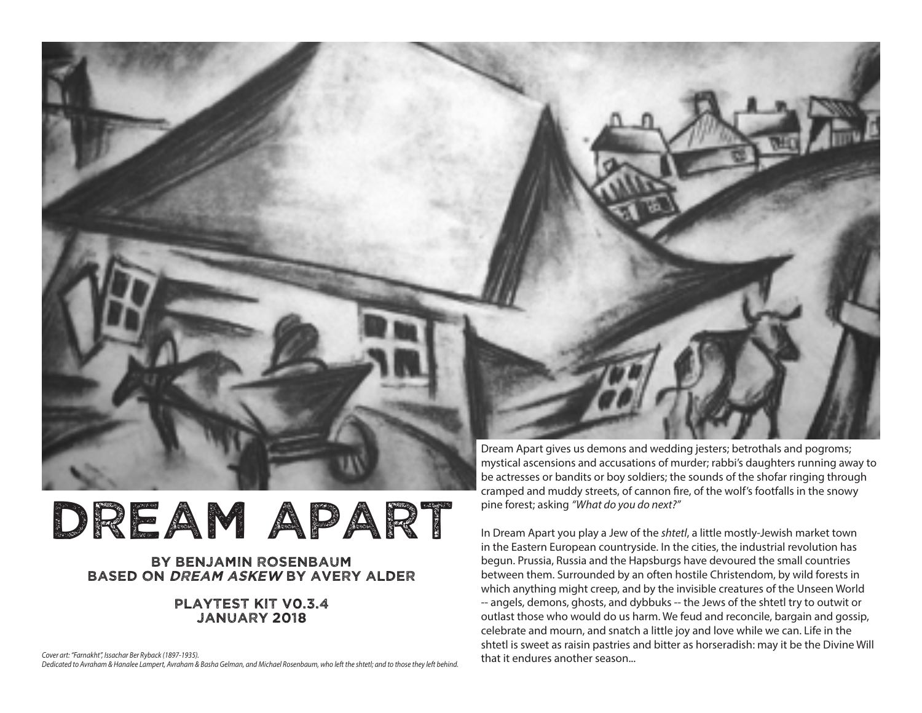

# DREAM APART

### by benjamin rosenbaum based on dream askew by avery alder

### playtest kit v0.3.4 january 2018

*Cover art: "Farnakht", Issachar Ber Ryback (1897-1935). Dedicated to Avraham & Hanalee Lampert, Avraham & Basha Gelman, and Michael Rosenbaum, who left the shtetl; and to those they left behind.*

be actresses or bandits or boy soldiers; the sounds of the shofar ringing through cramped and muddy streets, of cannon fire, of the wolf's footfalls in the snowy pine forest; asking *"What do you do next?"* 

In Dream Apart you play a Jew of the *shtetl*, a little mostly-Jewish market town in the Eastern European countryside. In the cities, the industrial revolution has begun. Prussia, Russia and the Hapsburgs have devoured the small countries between them. Surrounded by an often hostile Christendom, by wild forests in which anything might creep, and by the invisible creatures of the Unseen World -- angels, demons, ghosts, and dybbuks -- the Jews of the shtetl try to outwit or outlast those who would do us harm. We feud and reconcile, bargain and gossip, celebrate and mourn, and snatch a little joy and love while we can. Life in the shtetl is sweet as raisin pastries and bitter as horseradish: may it be the Divine Will that it endures another season...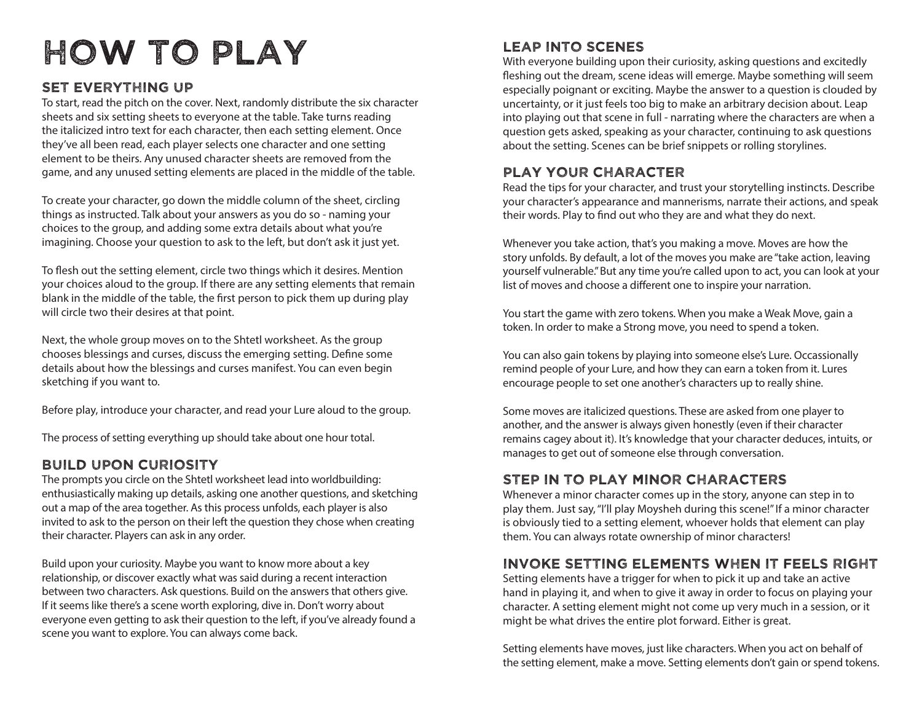# How to play

### Set everything up

To start, read the pitch on the cover. Next, randomly distribute the six character sheets and six setting sheets to everyone at the table. Take turns reading the italicized intro text for each character, then each setting element. Once they've all been read, each player selects one character and one setting element to be theirs. Any unused character sheets are removed from the game, and any unused setting elements are placed in the middle of the table.

To create your character, go down the middle column of the sheet, circling things as instructed. Talk about your answers as you do so - naming your choices to the group, and adding some extra details about what you're imagining. Choose your question to ask to the left, but don't ask it just yet.

To flesh out the setting element, circle two things which it desires. Mention your choices aloud to the group. If there are any setting elements that remain blank in the middle of the table, the first person to pick them up during play will circle two their desires at that point.

Next, the whole group moves on to the Shtetl worksheet. As the group chooses blessings and curses, discuss the emerging setting. Define some details about how the blessings and curses manifest. You can even begin sketching if you want to.

Before play, introduce your character, and read your Lure aloud to the group.

The process of setting everything up should take about one hour total.

### Build upon curiosity

The prompts you circle on the Shtetl worksheet lead into worldbuilding: enthusiastically making up details, asking one another questions, and sketching out a map of the area together. As this process unfolds, each player is also invited to ask to the person on their left the question they chose when creating their character. Players can ask in any order.

Build upon your curiosity. Maybe you want to know more about a key relationship, or discover exactly what was said during a recent interaction between two characters. Ask questions. Build on the answers that others give. If it seems like there's a scene worth exploring, dive in. Don't worry about everyone even getting to ask their question to the left, if you've already found a scene you want to explore. You can always come back.

### Leap into scenes

With everyone building upon their curiosity, asking questions and excitedly fleshing out the dream, scene ideas will emerge. Maybe something will seem especially poignant or exciting. Maybe the answer to a question is clouded by uncertainty, or it just feels too big to make an arbitrary decision about. Leap into playing out that scene in full - narrating where the characters are when a question gets asked, speaking as your character, continuing to ask questions about the setting. Scenes can be brief snippets or rolling storylines.

### Play your character

Read the tips for your character, and trust your storytelling instincts. Describe your character's appearance and mannerisms, narrate their actions, and speak their words. Play to find out who they are and what they do next.

Whenever you take action, that's you making a move. Moves are how the story unfolds. By default, a lot of the moves you make are "take action, leaving yourself vulnerable." But any time you're called upon to act, you can look at your list of moves and choose a different one to inspire your narration.

You start the game with zero tokens. When you make a Weak Move, gain a token. In order to make a Strong move, you need to spend a token.

You can also gain tokens by playing into someone else's Lure. Occassionally remind people of your Lure, and how they can earn a token from it. Lures encourage people to set one another's characters up to really shine.

Some moves are italicized questions. These are asked from one player to another, and the answer is always given honestly (even if their character remains cagey about it). It's knowledge that your character deduces, intuits, or manages to get out of someone else through conversation.

### Step in to play minor characters

Whenever a minor character comes up in the story, anyone can step in to play them. Just say, "I'll play Moysheh during this scene!" If a minor character is obviously tied to a setting element, whoever holds that element can play them. You can always rotate ownership of minor characters!

### invoke setting elements when it feels right

Setting elements have a trigger for when to pick it up and take an active hand in playing it, and when to give it away in order to focus on playing your character. A setting element might not come up very much in a session, or it might be what drives the entire plot forward. Either is great.

Setting elements have moves, just like characters. When you act on behalf of the setting element, make a move. Setting elements don't gain or spend tokens.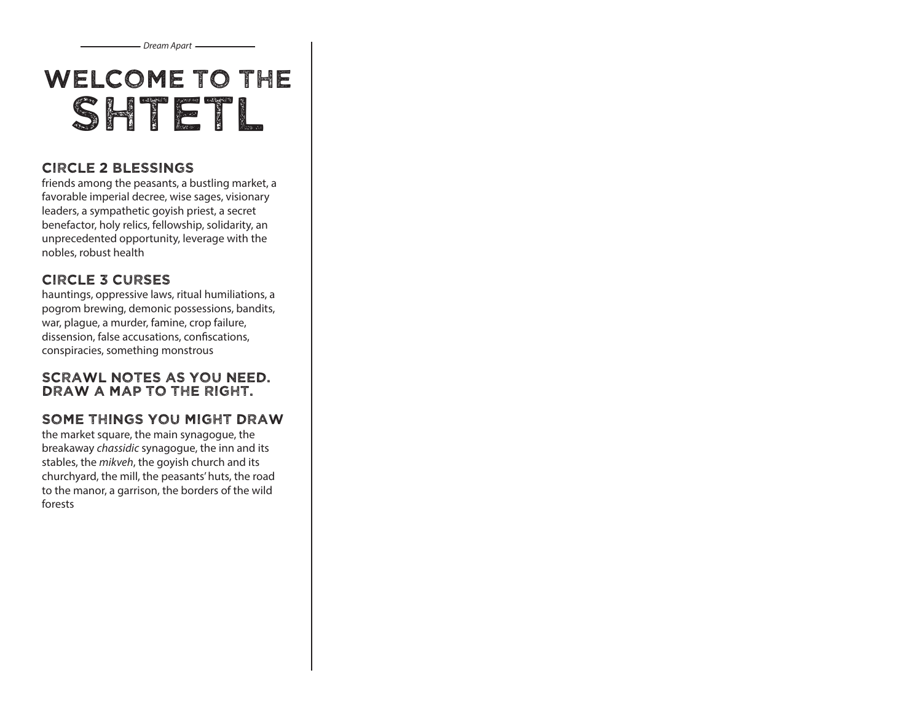Welcome to The SHTETL

*Dream Apart*

### Circle 2 BLESSINGS

friends among the peasants, a bustling market, a favorable imperial decree, wise sages, visionary leaders, a sympathetic goyish priest, a secret benefactor, holy relics, fellowship, solidarity, an unprecedented opportunity, leverage with the nobles, robust health

### Circle 3 CURSES

hauntings, oppressive laws, ritual humiliations, a pogrom brewing, demonic possessions, bandits, war, plague, a murder, famine, crop failure, dissension, false accusations, confiscations, conspiracies, something monstrous

### Scrawl notes as you need. Draw a map to the right.

### some things you might draw

the market square, the main synagogue, the breakaway *chassidic* synagogue, the inn and its stables, the *mikveh*, the goyish church and its churchyard, the mill, the peasants' huts, the road to the manor, a garrison, the borders of the wild forests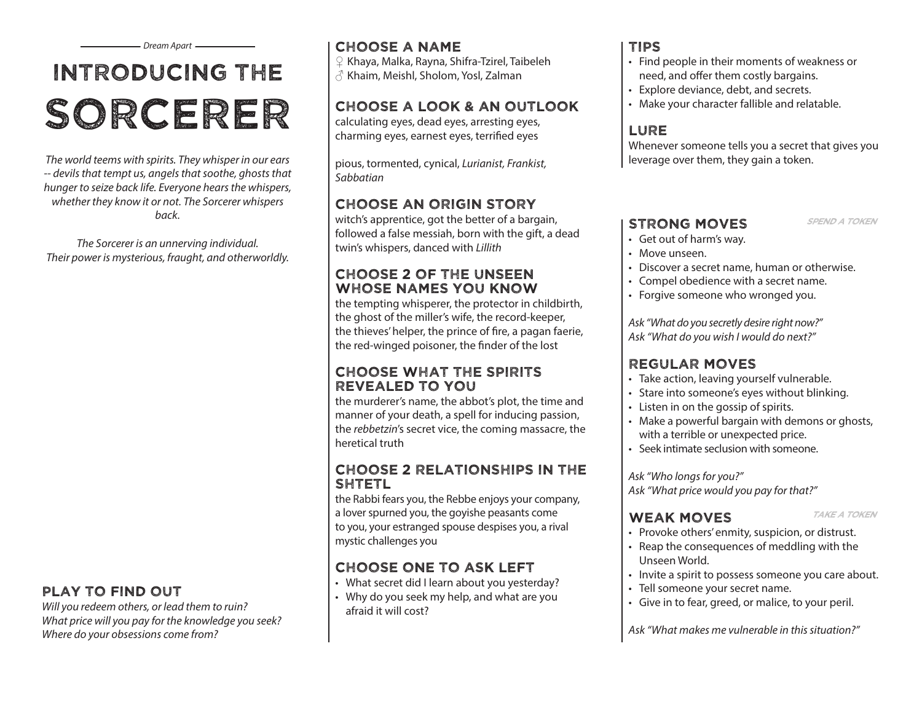# Introducing the sorcerer

*The world teems with spirits. They whisper in our ears -- devils that tempt us, angels that soothe, ghosts that hunger to seize back life. Everyone hears the whispers, whether they know it or not. The Sorcerer whispers back.*

*The Sorcerer is an unnerving individual. Their power is mysterious, fraught, and otherworldly.*

### play to find out

*Will you redeem others, or lead them to ruin? What price will you pay for the knowledge you seek? Where do your obsessions come from?*

### Dream Apart <del>\_\_\_\_\_\_\_\_\_</del> | CHOOSE A NAME | TIPS

♀ Khaya, Malka, Rayna, Shifra-Tzirel, Taibeleh  $\delta$  Khaim, Meishl, Sholom, Yosl, Zalman

### Choose A Look & an outlook

calculating eyes, dead eyes, arresting eyes, charming eyes, earnest eyes, terrified eyes

pious, tormented, cynical, *Lurianist, Frankist, Sabbatian*

### Choose an origin story

witch's apprentice, got the better of a bargain, followed a false messiah, born with the gift, a dead twin's whispers, danced with *Lillith*

### Choose 2 of the unseen whose names you know

the tempting whisperer, the protector in childbirth, the ghost of the miller's wife, the record-keeper, the thieves' helper, the prince of fire, a pagan faerie, the red-winged poisoner, the finder of the lost

### choose What The Spirits revealed to You

the murderer's name, the abbot's plot, the time and manner of your death, a spell for inducing passion, the *rebbetzin*'s secret vice, the coming massacre, the heretical truth

### Choose 2 relationships in the **SHTETL**

the Rabbi fears you, the Rebbe enjoys your company, a lover spurned you, the goyishe peasants come to you, your estranged spouse despises you, a rival mystic challenges you

### Choose one to ask left

- What secret did I learn about you yesterday?
- Why do you seek my help, and what are you afraid it will cost?

- Find people in their moments of weakness or need, and offer them costly bargains.
- Explore deviance, debt, and secrets.
- Make your character fallible and relatable.

### **LURE**

Whenever someone tells you a secret that gives you leverage over them, they gain a token.

### STRONG MOVES SPEND A TOKEN

- 
- Get out of harm's way.
- Move unseen.
- Discover a secret name, human or otherwise.
- Compel obedience with a secret name.
- Forgive someone who wronged you.

*Ask "What do you secretly desire right now?" Ask "What do you wish I would do next?"*

### Regular Moves

- Take action, leaving yourself vulnerable.
- Stare into someone's eyes without blinking.
- Listen in on the gossip of spirits.
- Make a powerful bargain with demons or ghosts, with a terrible or unexpected price.
- Seek intimate seclusion with someone.

*Ask "Who longs for you?" Ask "What price would you pay for that?"*

### WEAK MOVES TAKE A TOKEN

- 
- Provoke others' enmity, suspicion, or distrust.
- Reap the consequences of meddling with the Unseen World.
- Invite a spirit to possess someone you care about.
- Tell someone your secret name.
- Give in to fear, greed, or malice, to your peril.

*Ask "What makes me vulnerable in this situation?"*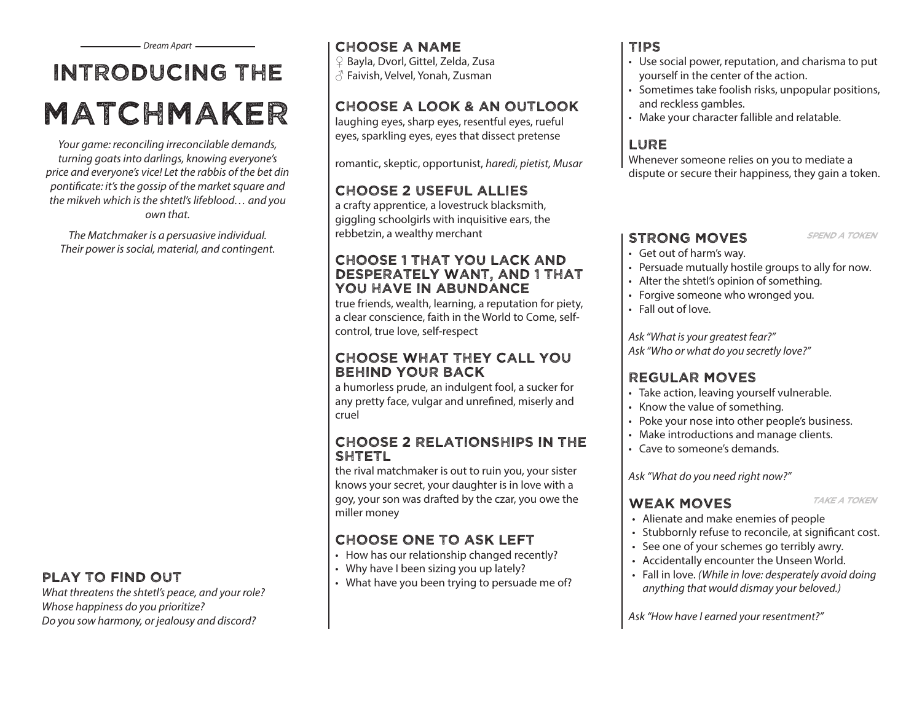# Introducing the matchmaker

*Your game: reconciling irreconcilable demands, turning goats into darlings, knowing everyone's price and everyone's vice! Let the rabbis of the bet din pontificate: it's the gossip of the market square and the mikveh which is the shtetl's lifeblood… and you own that.*

*The Matchmaker is a persuasive individual. Their power is social, material, and contingent.*

### play to find out

*What threatens the shtetl's peace, and your role? Whose happiness do you prioritize? Do you sow harmony, or jealousy and discord?*

### Choose a Name

♀ Bayla, Dvorl, Gittel, Zelda, Zusa ♂ Faivish, Velvel, Yonah, Zusman

### Choose A Look & an outlook

laughing eyes, sharp eyes, resentful eyes, rueful eyes, sparkling eyes, eyes that dissect pretense

romantic, skeptic, opportunist, *haredi, pietist, Musar* 

### Choose 2 useful allies

a crafty apprentice, a lovestruck blacksmith, giggling schoolgirls with inquisitive ears, the rebbetzin, a wealthy merchant

### Choose 1 that you lack and desperately want, and 1 that you have in abundance

true friends, wealth, learning, a reputation for piety, a clear conscience, faith in the World to Come, selfcontrol, true love, self-respect

### choose what they call you behind your back

a humorless prude, an indulgent fool, a sucker for any pretty face, vulgar and unrefined, miserly and cruel

### Choose 2 relationships in the **SHTETL**

the rival matchmaker is out to ruin you, your sister knows your secret, your daughter is in love with a goy, your son was drafted by the czar, you owe the miller money

### Choose one to ask left

- How has our relationship changed recently?
- Why have I been sizing you up lately?
- What have you been trying to persuade me of?

### Tips

- Use social power, reputation, and charisma to put yourself in the center of the action.
- Sometimes take foolish risks, unpopular positions, and reckless gambles.
- Make your character fallible and relatable.

### **LURE**

Whenever someone relies on you to mediate a dispute or secure their happiness, they gain a token.

### STRONG MOVES SPEND A TOKEN

- 
- Get out of harm's way.
- Persuade mutually hostile groups to ally for now.
- Alter the shtetl's opinion of something.
- Forgive someone who wronged you.
- Fall out of love.

*Ask "What is your greatest fear?" Ask "Who or what do you secretly love?"*

### Regular Moves

- Take action, leaving yourself vulnerable.
- Know the value of something.
- Poke your nose into other people's business.
- Make introductions and manage clients.
- Cave to someone's demands.

*Ask "What do you need right now?"*

### WEAK MOVES TAKE A TOKEN

- 
- Alienate and make enemies of people
- Stubbornly refuse to reconcile, at significant cost.
- See one of your schemes go terribly awry.
- Accidentally encounter the Unseen World.
- Fall in love. *(While in love: desperately avoid doing anything that would dismay your beloved.)*

*Ask "How have I earned your resentment?"*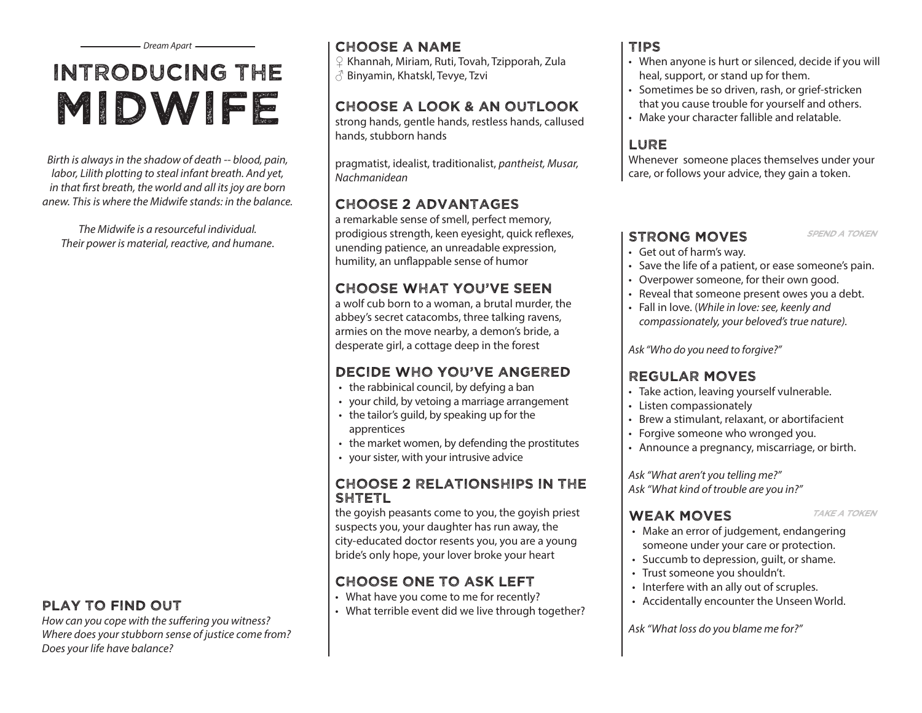# Introducing the midwife

*Birth is always in the shadow of death -- blood, pain, labor, Lilith plotting to steal infant breath. And yet, in that first breath, the world and all its joy are born anew. This is where the Midwife stands: in the balance.* 

*The Midwife is a resourceful individual. Their power is material, reactive, and humane*.

*Where does your stubborn sense of justice come from? Does your life have balance?*

### Choose a Name

♀ Khannah, Miriam, Ruti, Tovah, Tzipporah, Zula ♂ Binyamin, Khatskl, Tevye, Tzvi

### Choose A Look & an outlook

strong hands, gentle hands, restless hands, callused hands, stubborn hands

pragmatist, idealist, traditionalist, *pantheist, Musar, Nachmanidean*

### Choose 2 advantages

a remarkable sense of smell, perfect memory, prodigious strength, keen eyesight, quick reflexes, unending patience, an unreadable expression, humility, an unflappable sense of humor

### Choose what you've seen

a wolf cub born to a woman, a brutal murder, the abbey's secret catacombs, three talking ravens, armies on the move nearby, a demon's bride, a desperate girl, a cottage deep in the forest

### Decide who you've angered

- the rabbinical council, by defying a ban
- your child, by vetoing a marriage arrangement
- the tailor's guild, by speaking up for the apprentices
- the market women, by defending the prostitutes
- your sister, with your intrusive advice

### Choose 2 relationships in the **SHTETL**

the goyish peasants come to you, the goyish priest suspects you, your daughter has run away, the city-educated doctor resents you, you are a young bride's only hope, your lover broke your heart

### Choose one to ask left

- 
- **PLAY TO FIND OUT**<br>*How can you cope with the suffering you witness? in the suffering you witness?*

### Tips

- When anyone is hurt or silenced, decide if you will heal, support, or stand up for them.
- Sometimes be so driven, rash, or grief-stricken that you cause trouble for yourself and others.
- Make your character fallible and relatable.

### **LURE**

Whenever someone places themselves under your care, or follows your advice, they gain a token.

### STRONG MOVES SPEND A TOKEN

- Get out of harm's way.
- Save the life of a patient, or ease someone's pain.
- Overpower someone, for their own good.
- Reveal that someone present owes you a debt.
- Fall in love. (*While in love: see, keenly and compassionately, your beloved's true nature).*

*Ask "Who do you need to forgive?"*

### Regular Moves

- Take action, leaving yourself vulnerable.
- Listen compassionately
- Brew a stimulant, relaxant, or abortifacient
- Forgive someone who wronged you.
- Announce a pregnancy, miscarriage, or birth.

*Ask "What aren't you telling me?" Ask "What kind of trouble are you in?"* 

### WEAK MOVES TAKE A TOKEN

- 
- Make an error of judgement, endangering someone under your care or protection.
- Succumb to depression, guilt, or shame.
- Trust someone you shouldn't.
- Interfere with an ally out of scruples.
- Accidentally encounter the Unseen World.

*Ask "What loss do you blame me for?"*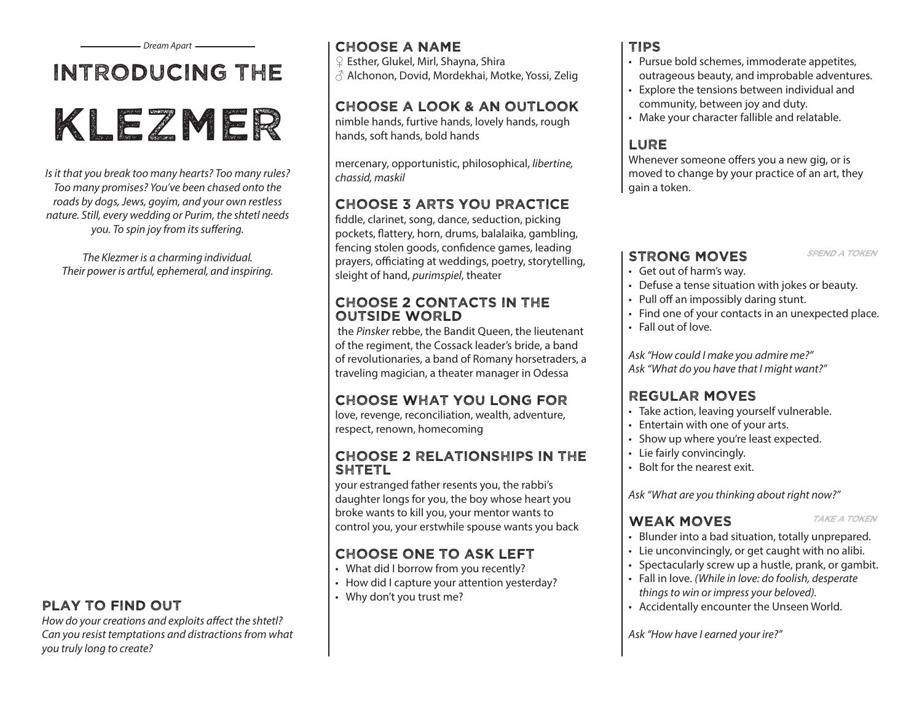## Introducing the

# klezmer

*Is it that you break too many hearts? Too many rules? Too many promises? You've been chased onto the roads by dogs, Jews, goyim, and your own restless nature. Still, every wedding or Purim, the shtetl needs you. To spin joy from its suffering.*

*The Klezmer is a charming individual. Their power is artful, ephemeral, and inspiring.* 

*How do your creations and exploits affect the shtetl? Can you resist temptations and distractions from what you truly long to create?*

### Choose a name

♀ Esther, Glukel, Mirl, Shayna, Shira

 $\beta$  Alchonon, Dovid, Mordekhai, Motke, Yossi, Zelig

### Choose A Look & AN OUTLOOK

nimble hands, furtive hands, lovely hands, rough hands, soft hands, bold hands

mercenary, opportunistic, philosophical, *libertine, chassid, maskil*

### Choose 3 arts you practice

fiddle, clarinet, song, dance, seduction, picking pockets, flattery, horn, drums, balalaika, gambling, fencing stolen goods, confidence games, leading prayers, officiating at weddings, poetry, storytelling, sleight of hand, *purimspiel*, theater

### Choose 2 contacts in the outside world

 the *Pinsker* rebbe, the Bandit Queen, the lieutenant of the regiment, the Cossack leader's bride, a band of revolutionaries, a band of Romany horsetraders, a traveling magician, a theater manager in Odessa

### choose What you long for

love, revenge, reconciliation, wealth, adventure, respect, renown, homecoming

### Choose 2 relationships in the **SHTETL**

your estranged father resents you, the rabbi's daughter longs for you, the boy whose heart you broke wants to kill you, your mentor wants to control you, your erstwhile spouse wants you back

### Choose one to ask left

- What did I borrow from you recently?
- How did I capture your attention yesterday?
- **PLAY TO FIND OUT**  $\cdot$  Why don't you trust me?

### Tips

- Pursue bold schemes, immoderate appetites, outrageous beauty, and improbable adventures.
- Explore the tensions between individual and community, between joy and duty.
- Make your character fallible and relatable.

### **LURE**

Whenever someone offers you a new gig, or is moved to change by your practice of an art, they gain a token.

### STRONG MOVES SPEND A TOKEN

- Get out of harm's way.
- Defuse a tense situation with jokes or beauty.
- Pull off an impossibly daring stunt.
- Find one of your contacts in an unexpected place.
- Fall out of love.

*Ask "How could I make you admire me?" Ask "What do you have that I might want?"*

### Regular Moves

- Take action, leaving yourself vulnerable.
- Entertain with one of your arts.
- Show up where you're least expected.
- Lie fairly convincingly.
- Bolt for the nearest exit.

*Ask "What are you thinking about right now?"*

### WEAK MOVES **TAKE A TOKEN**

- 
- Blunder into a bad situation, totally unprepared.
- Lie unconvincingly, or get caught with no alibi.
- Spectacularly screw up a hustle, prank, or gambit.
- Fall in love. *(While in love: do foolish, desperate things to win or impress your beloved).*
- Accidentally encounter the Unseen World.

*Ask "How have I earned your ire?"*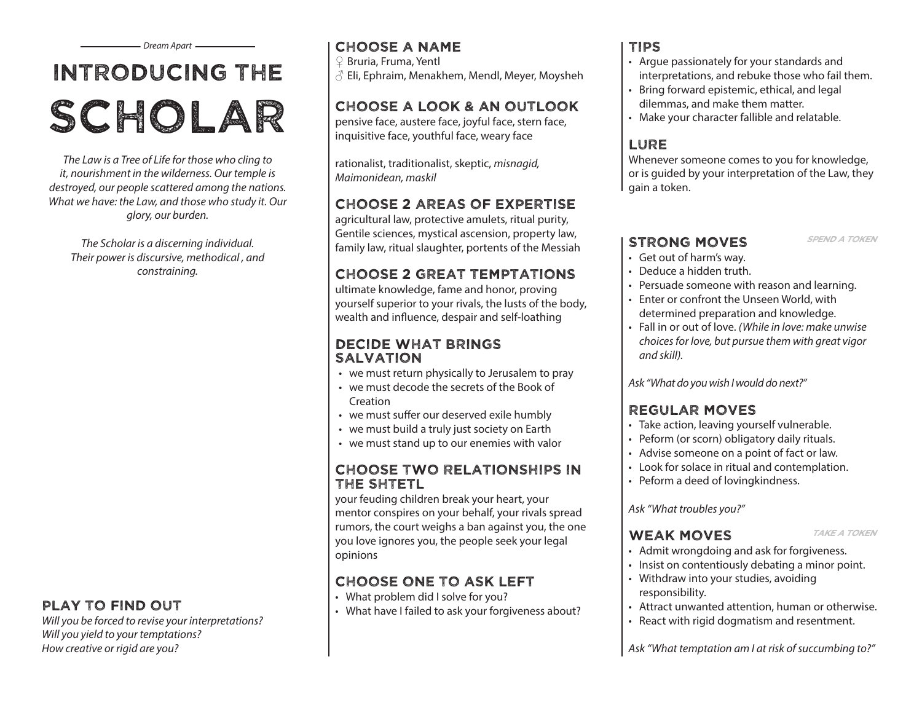# Introducing the SCHOLAR

*The Law is a Tree of Life for those who cling to it, nourishment in the wilderness. Our temple is destroyed, our people scattered among the nations. What we have: the Law, and those who study it. Our glory, our burden.*

*The Scholar is a discerning individual. Their power is discursive, methodical , and constraining.*

### play to find out

*Will you be forced to revise your interpretations? Will you yield to your temptations? How creative or rigid are you?*

### Dream Apart <del>\_\_\_\_\_\_\_\_\_</del> | CHOOSE A NAME | TIPS

♀ Bruria, Fruma, Yentl  $\beta$  Eli, Ephraim, Menakhem, Mendl, Meyer, Movsheh

### Choose A Look & an outlook

pensive face, austere face, joyful face, stern face, inquisitive face, youthful face, weary face

rationalist, traditionalist, skeptic, *misnagid, Maimonidean, maskil*

### Choose 2 areas of expertise

agricultural law, protective amulets, ritual purity, Gentile sciences, mystical ascension, property law, family law, ritual slaughter, portents of the Messiah

### choose 2 great temptations

ultimate knowledge, fame and honor, proving yourself superior to your rivals, the lusts of the body, wealth and influence, despair and self-loathing

### decide what brings **SALVATION**

- we must return physically to Jerusalem to pray
- we must decode the secrets of the Book of **Creation**
- we must suffer our deserved exile humbly
- we must build a truly just society on Earth
- we must stand up to our enemies with valor

### Choose Two relationships in the shtetl

your feuding children break your heart, your mentor conspires on your behalf, your rivals spread rumors, the court weighs a ban against you, the one you love ignores you, the people seek your legal opinions

### Choose one to ask left

- What problem did I solve for you?
- What have I failed to ask your forgiveness about?

- Argue passionately for your standards and interpretations, and rebuke those who fail them.
- Bring forward epistemic, ethical, and legal dilemmas, and make them matter.
- Make your character fallible and relatable.

### **LURE**

Whenever someone comes to you for knowledge, or is quided by your interpretation of the Law, they gain a token.

### STRONG MOVES SPEND A TOKEN

- 
- Get out of harm's way.
- Deduce a hidden truth.
- Persuade someone with reason and learning.
- Enter or confront the Unseen World, with determined preparation and knowledge.
- Fall in or out of love. *(While in love: make unwise choices for love, but pursue them with great vigor and skill).*

*Ask "What do you wish I would do next?"*

### Regular Moves

- Take action, leaving yourself vulnerable.
- Peform (or scorn) obligatory daily rituals.
- Advise someone on a point of fact or law.
- Look for solace in ritual and contemplation.
- Peform a deed of lovingkindness.

### *Ask "What troubles you?"*

### WEAK MOVES TAKE A TOKEN

- 
- Admit wrongdoing and ask for forgiveness.
- Insist on contentiously debating a minor point.
- Withdraw into your studies, avoiding responsibility.
- Attract unwanted attention, human or otherwise.
- React with rigid dogmatism and resentment.

*Ask "What temptation am I at risk of succumbing to?"*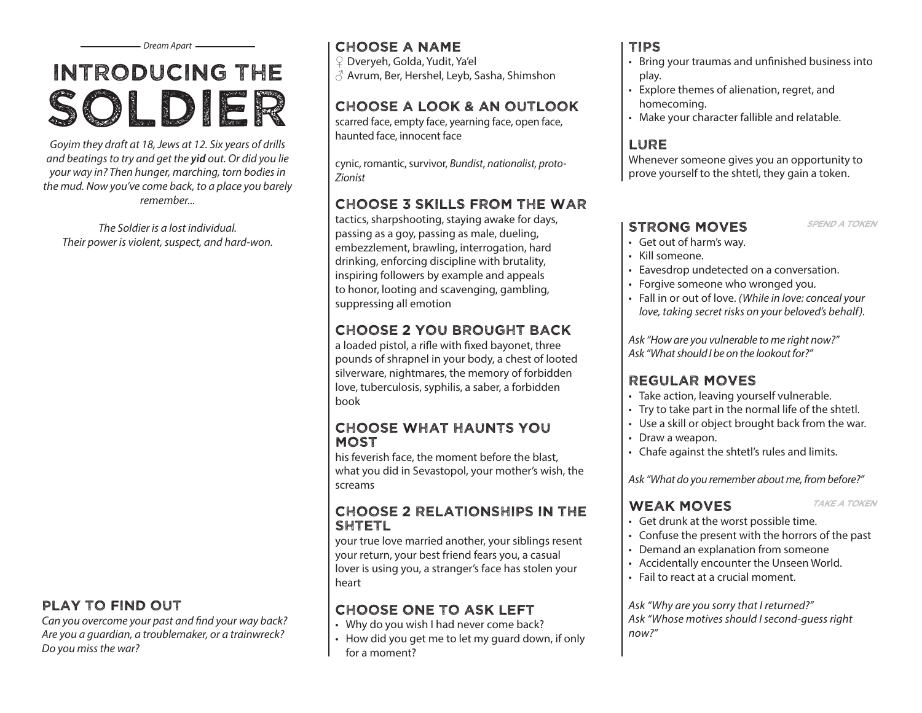# Introducing the soldier

*Goyim they draft at 18, Jews at 12. Six years of drills and beatings to try and get the yid out. Or did you lie your way in? Then hunger, marching, torn bodies in the mud. Now you've come back, to a place you barely remember...*

*The Soldier is a lost individual. Their power is violent, suspect, and hard-won.*

### play to find out

*Can you overcome your past and find your way back? Are you a guardian, a troublemaker, or a trainwreck? Do you miss the war?*

### Choose a name

♀ Dveryeh, Golda, Yudit, Ya'el

♂ Avrum, Ber, Hershel, Leyb, Sasha, Shimshon

### Choose A Look & an outlook

scarred face, empty face, yearning face, open face, haunted face, innocent face

cynic, romantic, survivor, *Bundist*, *nationalist, proto-Zionist* 

### Choose 3 skills from the war

tactics, sharpshooting, staying awake for days, passing as a goy, passing as male, dueling, embezzlement, brawling, interrogation, hard drinking, enforcing discipline with brutality, inspiring followers by example and appeals to honor, looting and scavenging, gambling, suppressing all emotion

### Choose 2 you brought back

a loaded pistol, a rifle with fixed bayonet, three pounds of shrapnel in your body, a chest of looted silverware, nightmares, the memory of forbidden love, tuberculosis, syphilis, a saber, a forbidden book

### CHOOSE What haunts You **MOST**

his feverish face, the moment before the blast, what you did in Sevastopol, your mother's wish, the screams

### Choose 2 relationships in the **SHTETL**

your true love married another, your siblings resent your return, your best friend fears you, a casual lover is using you, a stranger's face has stolen your heart

### Choose one to ask left

- Why do you wish I had never come back?
- How did you get me to let my guard down, if only for a moment?

### Tips

- Bring your traumas and unfinished business into play.
- Explore themes of alienation, regret, and homecoming.
- Make your character fallible and relatable.

### **LURE**

Whenever someone gives you an opportunity to prove yourself to the shtetl, they gain a token.

### STRONG MOVES SPEND A TOKEN

- 
- Get out of harm's way.
- Kill someone.
- Eavesdrop undetected on a conversation.
- Forgive someone who wronged you.
- Fall in or out of love. *(While in love: conceal your love, taking secret risks on your beloved's behalf).*

*Ask "How are you vulnerable to me right now?" Ask "What should I be on the lookout for?"*

### Regular Moves

- Take action, leaving yourself vulnerable.
- Try to take part in the normal life of the shtetl.
- Use a skill or object brought back from the war.
- Draw a weapon.
- Chafe against the shtetl's rules and limits.

*Ask "What do you remember about me, from before?"*

### WEAK MOVES TAKE A TOKEN

- 
- Get drunk at the worst possible time.
- Confuse the present with the horrors of the past
- Demand an explanation from someone
- Accidentally encounter the Unseen World.
- Fail to react at a crucial moment.

*Ask "Why are you sorry that I returned?" Ask "Whose motives should I second-guess right now?"*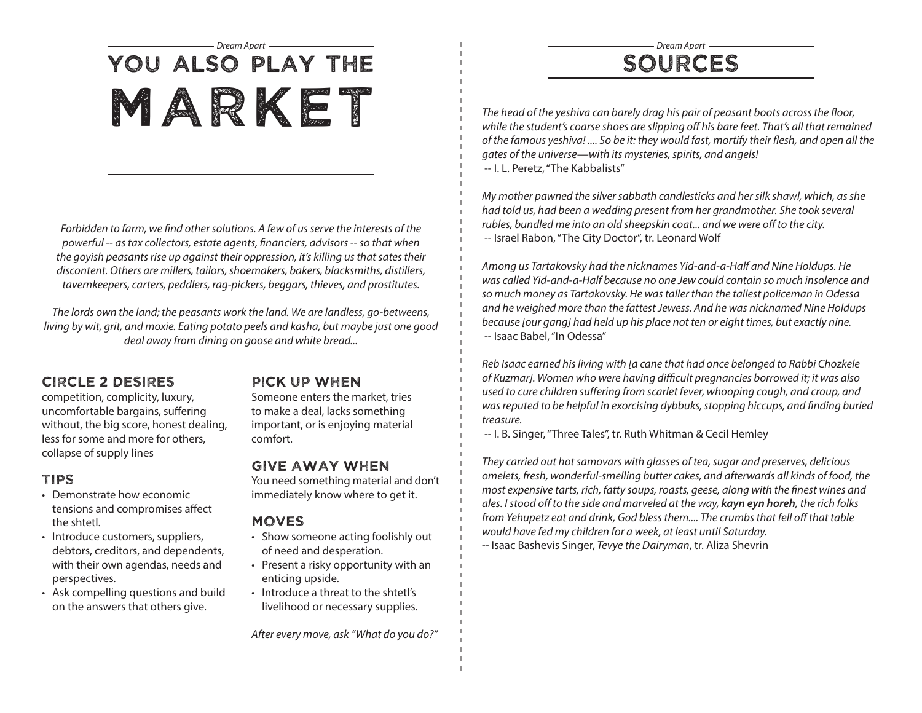## *Dream Apart Dream Apart* You also play the MARKE The head of the yeshiva can barely drag his pair of peasant boots across the floor,

*Forbidden to farm, we find other solutions. A few of us serve the interests of the powerful -- as tax collectors, estate agents, financiers, advisors -- so that when the goyish peasants rise up against their oppression, it's killing us that sates their discontent. Others are millers, tailors, shoemakers, bakers, blacksmiths, distillers, tavernkeepers, carters, peddlers, rag-pickers, beggars, thieves, and prostitutes.*

*The lords own the land; the peasants work the land. We are landless, go-betweens, living by wit, grit, and moxie. Eating potato peels and kasha, but maybe just one good deal away from dining on goose and white bread...*

### Circle 2 desires

competition, complicity, luxury, uncomfortable bargains, suffering without, the big score, honest dealing, less for some and more for others, collapse of supply lines

### Tips

- Demonstrate how economic tensions and compromises affect the shtetl.
- Introduce customers, suppliers, debtors, creditors, and dependents, with their own agendas, needs and perspectives.
- Ask compelling questions and build on the answers that others give.

### Pick up when

Someone enters the market, tries to make a deal, lacks something important, or is enjoying material comfort.

### Give away when

You need something material and don't immediately know where to get it.

### **MOVES**

- Show someone acting foolishly out of need and desperation.
- Present a risky opportunity with an enticing upside.
- Introduce a threat to the shtetl's livelihood or necessary supplies.

*After every move, ask "What do you do?"*

## sources

*while the student's coarse shoes are slipping off his bare feet. That's all that remained of the famous yeshiva! .... So be it: they would fast, mortify their flesh, and open all the gates of the universe—with its mysteries, spirits, and angels!*  -- I. L. Peretz, "The Kabbalists"

*My mother pawned the silver sabbath candlesticks and her silk shawl, which, as she had told us, had been a wedding present from her grandmother. She took several rubles, bundled me into an old sheepskin coat... and we were off to the city.*  -- Israel Rabon, "The City Doctor", tr. Leonard Wolf

*Among us Tartakovsky had the nicknames Yid-and-a-Half and Nine Holdups. He was called Yid-and-a-Half because no one Jew could contain so much insolence and so much money as Tartakovsky. He was taller than the tallest policeman in Odessa and he weighed more than the fattest Jewess. And he was nicknamed Nine Holdups because [our gang] had held up his place not ten or eight times, but exactly nine.* -- Isaac Babel, "In Odessa"

*Reb Isaac earned his living with [a cane that had once belonged to Rabbi Chozkele of Kuzmar]. Women who were having difficult pregnancies borrowed it; it was also used to cure children suffering from scarlet fever, whooping cough, and croup, and was reputed to be helpful in exorcising dybbuks, stopping hiccups, and finding buried treasure.*

-- I. B. Singer, "Three Tales", tr. Ruth Whitman & Cecil Hemley

*They carried out hot samovars with glasses of tea, sugar and preserves, delicious omelets, fresh, wonderful-smelling butter cakes, and afterwards all kinds of food, the most expensive tarts, rich, fatty soups, roasts, geese, along with the finest wines and ales. I stood off to the side and marveled at the way, kayn eyn horeh, the rich folks from Yehupetz eat and drink, God bless them.... The crumbs that fell off that table would have fed my children for a week, at least until Saturday.* -- Isaac Bashevis Singer, *Tevye the Dairyman*, tr. Aliza Shevrin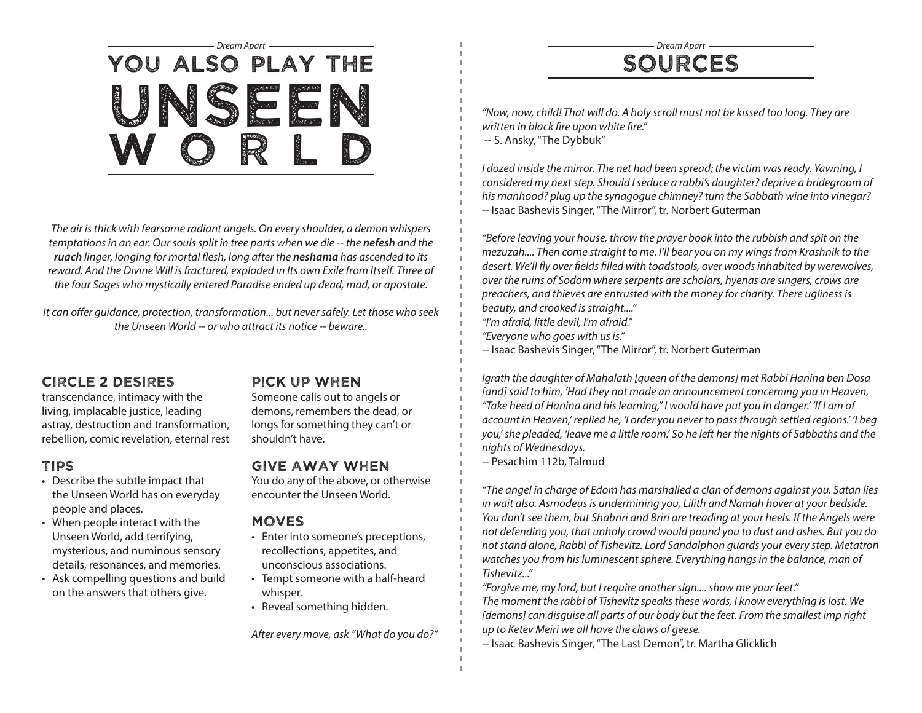# *Dream Apart Dream Apart* You also play the unseen WORLD

*The air is thick with fearsome radiant angels. On every shoulder, a demon whispers temptations in an ear. Our souls split in tree parts when we die -- the nefesh and the ruach linger, longing for mortal flesh, long after the neshama has ascended to its reward. And the Divine Will is fractured, exploded in Its own Exile from Itself. Three of the four Sages who mystically entered Paradise ended up dead, mad, or apostate.*

*It can offer guidance, protection, transformation... but never safely. Let those who seek the Unseen World -- or who attract its notice -- beware..*

### Circle 2 desires

transcendance, intimacy with the living, implacable justice, leading astray, destruction and transformation, rebellion, comic revelation, eternal rest

### Tips

- Describe the subtle impact that the Unseen World has on everyday people and places.
- When people interact with the Unseen World, add terrifying, mysterious, and numinous sensory details, resonances, and memories.
- Ask compelling questions and build on the answers that others give.

### Pick up when

Someone calls out to angels or demons, remembers the dead, or longs for something they can't or shouldn't have.

### Give away when

You do any of the above, or otherwise encounter the Unseen World.

### Moves

- Enter into someone's preceptions, recollections, appetites, and unconscious associations.
- Tempt someone with a half-heard whisper.
- Reveal something hidden.

*After every move, ask "What do you do?"*

# sources

*"Now, now, child! That will do. A holy scroll must not be kissed too long. They are written in black fire upon white fire."*  -- S. Ansky, "The Dybbuk"

*I dozed inside the mirror. The net had been spread; the victim was ready. Yawning, I considered my next step. Should I seduce a rabbi's daughter? deprive a bridegroom of his manhood? plug up the synagogue chimney? turn the Sabbath wine into vinegar?*  -- Isaac Bashevis Singer, "The Mirror", tr. Norbert Guterman

*"Before leaving your house, throw the prayer book into the rubbish and spit on the mezuzah.... Then come straight to me. I'll bear you on my wings from Krashnik to the desert. We'll fly over fields filled with toadstools, over woods inhabited by werewolves, over the ruins of Sodom where serpents are scholars, hyenas are singers, crows are preachers, and thieves are entrusted with the money for charity. There ugliness is beauty, and crooked is straight...." "I'm afraid, little devil, I'm afraid." "Everyone who goes with us is."*

-- Isaac Bashevis Singer, "The Mirror", tr. Norbert Guterman

*Igrath the daughter of Mahalath [queen of the demons] met Rabbi Hanina ben Dosa [and] said to him, 'Had they not made an announcement concerning you in Heaven, "Take heed of Hanina and his learning," I would have put you in danger.' 'If I am of account in Heaven,' replied he, 'I order you never to pass through settled regions.' 'I beg you,' she pleaded, 'leave me a little room.' So he left her the nights of Sabbaths and the nights of Wednesdays.*

-- Pesachim 112b, Talmud

*"The angel in charge of Edom has marshalled a clan of demons against you. Satan lies in wait also. Asmodeus is undermining you, Lilith and Namah hover at your bedside. You don't see them, but Shabriri and Briri are treading at your heels. If the Angels were not defending you, that unholy crowd would pound you to dust and ashes. But you do not stand alone, Rabbi of Tishevitz. Lord Sandalphon guards your every step. Metatron watches you from his luminescent sphere. Everything hangs in the balance, man of Tishevitz..."*

*"Forgive me, my lord, but I require another sign.... show me your feet." The moment the rabbi of Tishevitz speaks these words, I know everything is lost. We [demons] can disguise all parts of our body but the feet. From the smallest imp right up to Ketev Meiri we all have the claws of geese.*

-- Isaac Bashevis Singer, "The Last Demon", tr. Martha Glicklich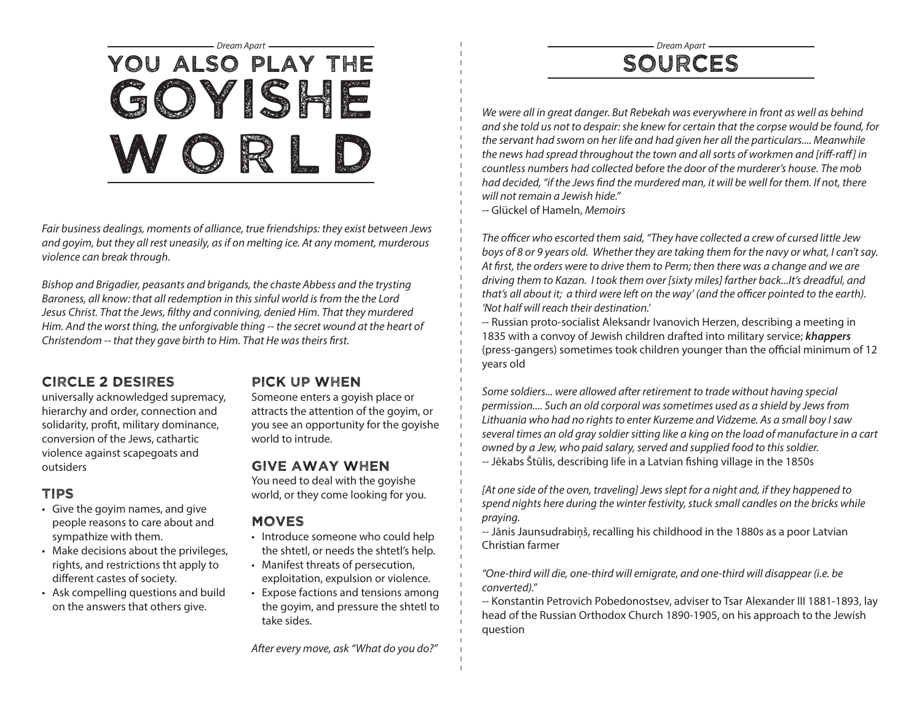# *Dream Apart Dream Apart* You also play the goyishe WORLD

*Fair business dealings, moments of alliance, true friendships: they exist between Jews and goyim, but they all rest uneasily, as if on melting ice. At any moment, murderous violence can break through.*

*Bishop and Brigadier, peasants and brigands, the chaste Abbess and the trysting Baroness, all know: that all redemption in this sinful world is from the the Lord Jesus Christ. That the Jews, filthy and conniving, denied Him. That they murdered Him. And the worst thing, the unforgivable thing -- the secret wound at the heart of Christendom -- that they gave birth to Him. That He was theirs first.*

### Circle 2 desires

universally acknowledged supremacy, hierarchy and order, connection and solidarity, profit, military dominance, conversion of the Jews, cathartic violence against scapegoats and outsiders

### Tips

- Give the goyim names, and give people reasons to care about and sympathize with them.
- Make decisions about the privileges, rights, and restrictions tht apply to different castes of society.
- Ask compelling questions and build on the answers that others give.

### Pick up when

Someone enters a goyish place or attracts the attention of the goyim, or you see an opportunity for the goyishe world to intrude.

### Give away when

You need to deal with the goyishe world, or they come looking for you.

### Moves

- Introduce someone who could help the shtetl, or needs the shtetl's help.
- Manifest threats of persecution, exploitation, expulsion or violence.
- Expose factions and tensions among the goyim, and pressure the shtetl to take sides.

*After every move, ask "What do you do?"*

## sources

We were all in great danger. But Rebekah was everywhere in front as well as behind *and she told us not to despair: she knew for certain that the corpse would be found, for the servant had sworn on her life and had given her all the particulars.... Meanwhile the news had spread throughout the town and all sorts of workmen and [riff-raff] in countless numbers had collected before the door of the murderer's house. The mob had decided, "if the Jews find the murdered man, it will be well for them. If not, there will not remain a Jewish hide."*

-- Glückel of Hameln, *Memoirs*

*The officer who escorted them said, "They have collected a crew of cursed little Jew boys of 8 or 9 years old. Whether they are taking them for the navy or what, I can't say. At first, the orders were to drive them to Perm; then there was a change and we are driving them to Kazan. I took them over [sixty miles] farther back...It's dreadful, and that's all about it; a third were left on the way' (and the officer pointed to the earth). 'Not half will reach their destination.'*

-- Russian proto-socialist Aleksandr Ivanovich Herzen, describing a meeting in 1835 with a convoy of Jewish children drafted into military service; *khappers* (press-gangers) sometimes took children younger than the official minimum of 12 years old

*Some soldiers... were allowed after retirement to trade without having special permission.... Such an old corporal was sometimes used as a shield by Jews from Lithuania who had no rights to enter Kurzeme and Vidzeme. As a small boy I saw several times an old gray soldier sitting like a king on the load of manufacture in a cart owned by a Jew, who paid salary, served and supplied food to this soldier.* -- Jēkabs Štūlis, describing life in a Latvian fishing village in the 1850s

*[At one side of the oven, traveling] Jews slept for a night and, if they happened to spend nights here during the winter festivity, stuck small candles on the bricks while praying.*

-- Jānis Jaunsudrabiņš, recalling his childhood in the 1880s as a poor Latvian Christian farmer

*"One-third will die, one-third will emigrate, and one-third will disappear (i.e. be converted)."*

-- Konstantin Petrovich Pobedonostsev, adviser to Tsar Alexander III 1881-1893, lay head of the Russian Orthodox Church 1890-1905, on his approach to the Jewish question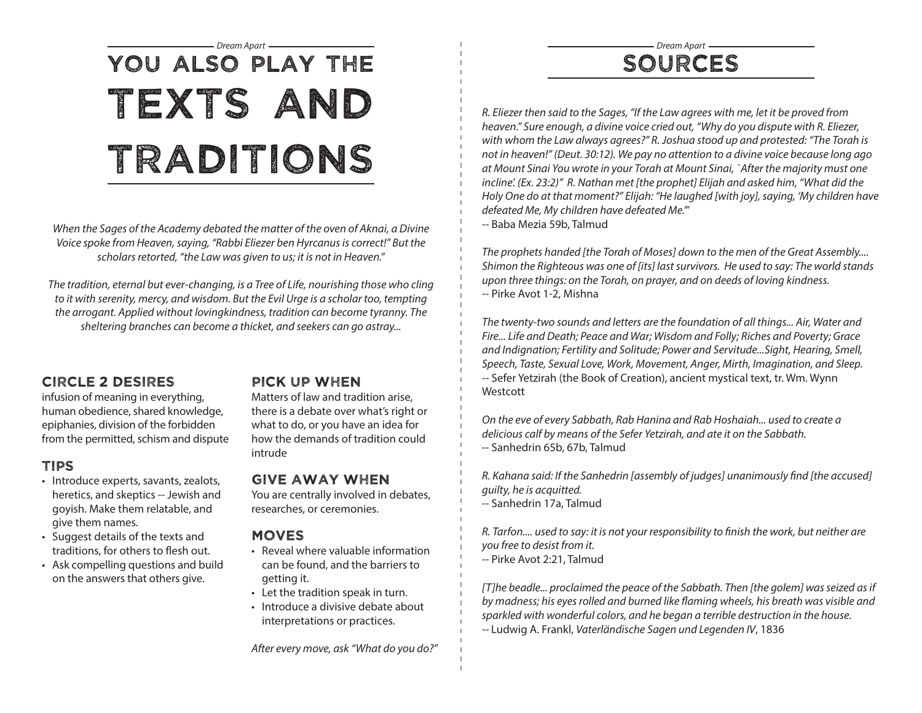## sources

*R. Eliezer then said to the Sages, "If the Law agrees with me, let it be proved from heaven." Sure enough, a divine voice cried out, "Why do you dispute with R. Eliezer, with whom the Law always agrees?" R. Joshua stood up and protested: "The Torah is not in heaven!" (Deut. 30:12). We pay no attention to a divine voice because long ago at Mount Sinai You wrote in your Torah at Mount Sinai, `After the majority must one incline'. (Ex. 23:2)" R. Nathan met [the prophet] Elijah and asked him, "What did the Holy One do at that moment?" Elijah: "He laughed [with joy], saying, 'My children have defeated Me, My children have defeated Me.'"* -- Baba Mezia 59b, Talmud

*The prophets handed [the Torah of Moses] down to the men of the Great Assembly.... Shimon the Righteous was one of [its] last survivors. He used to say: The world stands upon three things: on the Torah, on prayer, and on deeds of loving kindness.* -- Pirke Avot 1-2, Mishna

*The twenty-two sounds and letters are the foundation of all things... Air, Water and Fire... Life and Death; Peace and War; Wisdom and Folly; Riches and Poverty; Grace and Indignation; Fertility and Solitude; Power and Servitude...Sight, Hearing, Smell, Speech, Taste, Sexual Love, Work, Movement, Anger, Mirth, Imagination, and Sleep.* -- Sefer Yetzirah (the Book of Creation), ancient mystical text, tr. Wm. Wynn Westcott

*On the eve of every Sabbath, Rab Hanina and Rab Hoshaiah... used to create a delicious calf by means of the Sefer Yetzirah, and ate it on the Sabbath.* -- Sanhedrin 65b, 67b, Talmud

*R. Kahana said: If the Sanhedrin [assembly of judges] unanimously find [the accused] guilty, he is acquitted.* -- Sanhedrin 17a, Talmud

*R. Tarfon.... used to say: it is not your responsibility to finish the work, but neither are you free to desist from it.*  -- Pirke Avot 2:21, Talmud

*[T]he beadle... proclaimed the peace of the Sabbath. Then [the golem] was seized as if by madness; his eyes rolled and burned like flaming wheels, his breath was visible and sparkled with wonderful colors, and he began a terrible destruction in the house. --* Ludwig A. Frankl, *Vaterländische Sagen und Legenden IV*, 1836

# *Dream Apart Dream Apart* You also play the texts and traditions

*When the Sages of the Academy debated the matter of the oven of Aknai, a Divine Voice spoke from Heaven, saying, "Rabbi Eliezer ben Hyrcanus is correct!" But the scholars retorted, "the Law was given to us; it is not in Heaven."* 

*The tradition, eternal but ever-changing, is a Tree of Life, nourishing those who cling to it with serenity, mercy, and wisdom. But the Evil Urge is a scholar too, tempting the arrogant. Applied without lovingkindness, tradition can become tyranny. The sheltering branches can become a thicket, and seekers can go astray...*

### Circle 2 desires

infusion of meaning in everything, human obedience, shared knowledge, epiphanies, division of the forbidden from the permitted, schism and dispute

### Tips

- Introduce experts, savants, zealots, heretics, and skeptics -- Jewish and goyish. Make them relatable, and give them names.
- Suggest details of the texts and traditions, for others to flesh out.
- Ask compelling questions and build on the answers that others give.

### Pick up when

Matters of law and tradition arise, there is a debate over what's right or what to do, or you have an idea for how the demands of tradition could intrude

### Give away when

You are centrally involved in debates, researches, or ceremonies.

### **MOVES**

- Reveal where valuable information can be found, and the barriers to getting it.
- Let the tradition speak in turn.
- Introduce a divisive debate about interpretations or practices.

*After every move, ask "What do you do?"*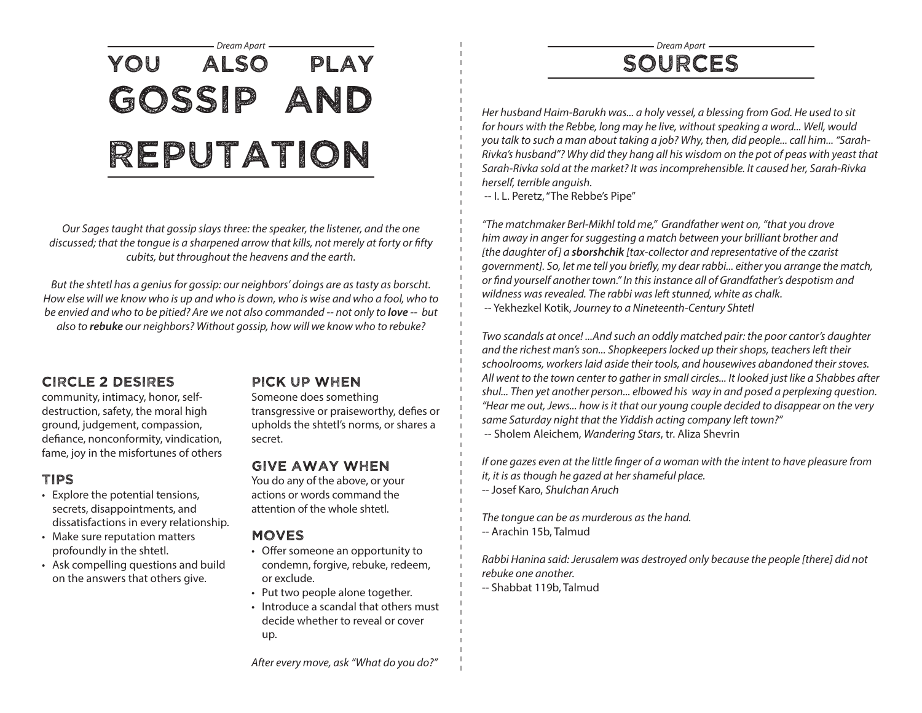## *Dream Apart Dream Apart* You also play gossip and reputation

*Our Sages taught that gossip slays three: the speaker, the listener, and the one discussed; that the tongue is a sharpened arrow that kills, not merely at forty or fifty cubits, but throughout the heavens and the earth.* 

*But the shtetl has a genius for gossip: our neighbors' doings are as tasty as borscht. How else will we know who is up and who is down, who is wise and who a fool, who to be envied and who to be pitied? Are we not also commanded -- not only to love -- but also to rebuke our neighbors? Without gossip, how will we know who to rebuke?*

### Circle 2 desires

community, intimacy, honor, selfdestruction, safety, the moral high ground, judgement, compassion, defiance, nonconformity, vindication, fame, joy in the misfortunes of others

### Tips

- Explore the potential tensions, secrets, disappointments, and dissatisfactions in every relationship.
- Make sure reputation matters profoundly in the shtetl.
- Ask compelling questions and build on the answers that others give.

### Pick up when

Someone does something

transgressive or praiseworthy, defies or upholds the shtetl's norms, or shares a secret.

### Give away when

You do any of the above, or your actions or words command the attention of the whole shtetl.

### **MOVES**

- Offer someone an opportunity to condemn, forgive, rebuke, redeem, or exclude.
- Put two people alone together.
- Introduce a scandal that others must decide whether to reveal or cover up.

sources

*Her husband Haim-Barukh was... a holy vessel, a blessing from God. He used to sit for hours with the Rebbe, long may he live, without speaking a word... Well, would you talk to such a man about taking a job? Why, then, did people... call him... "Sarah-Rivka's husband"? Why did they hang all his wisdom on the pot of peas with yeast that Sarah-Rivka sold at the market? It was incomprehensible. It caused her, Sarah-Rivka herself, terrible anguish.*

-- I. L. Peretz, "The Rebbe's Pipe"

*"The matchmaker Berl-Mikhl told me," Grandfather went on, "that you drove him away in anger for suggesting a match between your brilliant brother and [the daughter of] a sborshchik [tax-collector and representative of the czarist government]. So, let me tell you briefly, my dear rabbi... either you arrange the match, or find yourself another town." In this instance all of Grandfather's despotism and wildness was revealed. The rabbi was left stunned, white as chalk.* -- Yekhezkel Kotik, *Journey to a Nineteenth-Century Shtetl*

*Two scandals at once! ...And such an oddly matched pair: the poor cantor's daughter and the richest man's son... Shopkeepers locked up their shops, teachers left their schoolrooms, workers laid aside their tools, and housewives abandoned their stoves. All went to the town center to gather in small circles... It looked just like a Shabbes after shul... Then yet another person... elbowed his way in and posed a perplexing question. "Hear me out, Jews... how is it that our young couple decided to disappear on the very same Saturday night that the Yiddish acting company left town?"*  -- Sholem Aleichem, *Wandering Stars*, tr. Aliza Shevrin

*If one gazes even at the little finger of a woman with the intent to have pleasure from it, it is as though he gazed at her shameful place.* -- Josef Karo, *Shulchan Aruch*

*The tongue can be as murderous as the hand.* -- Arachin 15b, Talmud

*Rabbi Hanina said: Jerusalem was destroyed only because the people [there] did not rebuke one another.*

-- Shabbat 119b, Talmud

*After every move, ask "What do you do?"*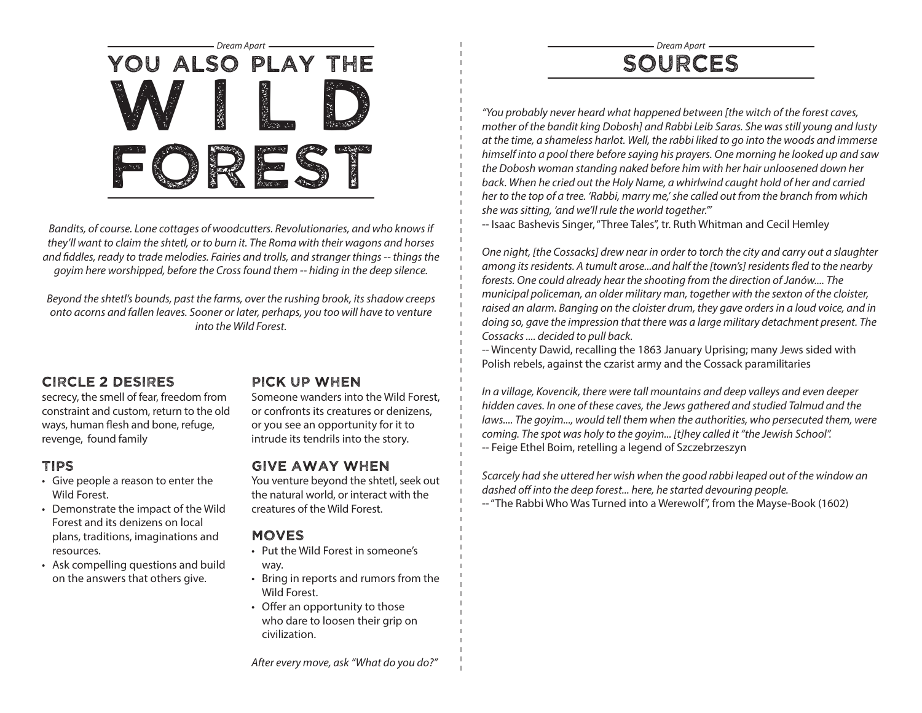

*Bandits, of course. Lone cottages of woodcutters. Revolutionaries, and who knows if they'll want to claim the shtetl, or to burn it. The Roma with their wagons and horses and fiddles, ready to trade melodies. Fairies and trolls, and stranger things -- things the goyim here worshipped, before the Cross found them -- hiding in the deep silence.*

*Beyond the shtetl's bounds, past the farms, over the rushing brook, its shadow creeps onto acorns and fallen leaves. Sooner or later, perhaps, you too will have to venture into the Wild Forest.*

### Circle 2 desires

secrecy, the smell of fear, freedom from constraint and custom, return to the old ways, human flesh and bone, refuge, revenge, found family

### Tips

- Give people a reason to enter the Wild Forest.
- Demonstrate the impact of the Wild Forest and its denizens on local plans, traditions, imaginations and resources.
- Ask compelling questions and build on the answers that others give.

### Pick up when

Someone wanders into the Wild Forest, or confronts its creatures or denizens, or you see an opportunity for it to intrude its tendrils into the story.

### Give away when

You venture beyond the shtetl, seek out the natural world, or interact with the creatures of the Wild Forest.

### **MOVES**

- Put the Wild Forest in someone's way.
- Bring in reports and rumors from the Wild Forest.
- Offer an opportunity to those who dare to loosen their grip on civilization.

## sources

*"You probably never heard what happened between [the witch of the forest caves, mother of the bandit king Dobosh] and Rabbi Leib Saras. She was still young and lusty at the time, a shameless harlot. Well, the rabbi liked to go into the woods and immerse himself into a pool there before saying his prayers. One morning he looked up and saw the Dobosh woman standing naked before him with her hair unloosened down her*  back. When he cried out the Holy Name, a whirlwind caught hold of her and carried *her to the top of a tree. 'Rabbi, marry me,' she called out from the branch from which she was sitting, 'and we'll rule the world together.'"*

-- Isaac Bashevis Singer, "Three Tales", tr. Ruth Whitman and Cecil Hemley

*One night, [the Cossacks] drew near in order to torch the city and carry out a slaughter among its residents. A tumult arose...and half the [town's] residents fled to the nearby forests. One could already hear the shooting from the direction of Janów.... The municipal policeman, an older military man, together with the sexton of the cloister, raised an alarm. Banging on the cloister drum, they gave orders in a loud voice, and in doing so, gave the impression that there was a large military detachment present. The Cossacks .... decided to pull back.*

-- Wincenty Dawid, recalling the 1863 January Uprising; many Jews sided with Polish rebels, against the czarist army and the Cossack paramilitaries

*In a village, Kovencik, there were tall mountains and deep valleys and even deeper hidden caves. In one of these caves, the Jews gathered and studied Talmud and the*  laws.... The goyim..., would tell them when the authorities, who persecuted them, were *coming. The spot was holy to the goyim... [t]hey called it "the Jewish School".* -- Feige Ethel Boim, retelling a legend of Szczebrzeszyn

*Scarcely had she uttered her wish when the good rabbi leaped out of the window an dashed off into the deep forest... here, he started devouring people.* -- "The Rabbi Who Was Turned into a Werewolf", from the Mayse-Book (1602)

*After every move, ask "What do you do?"*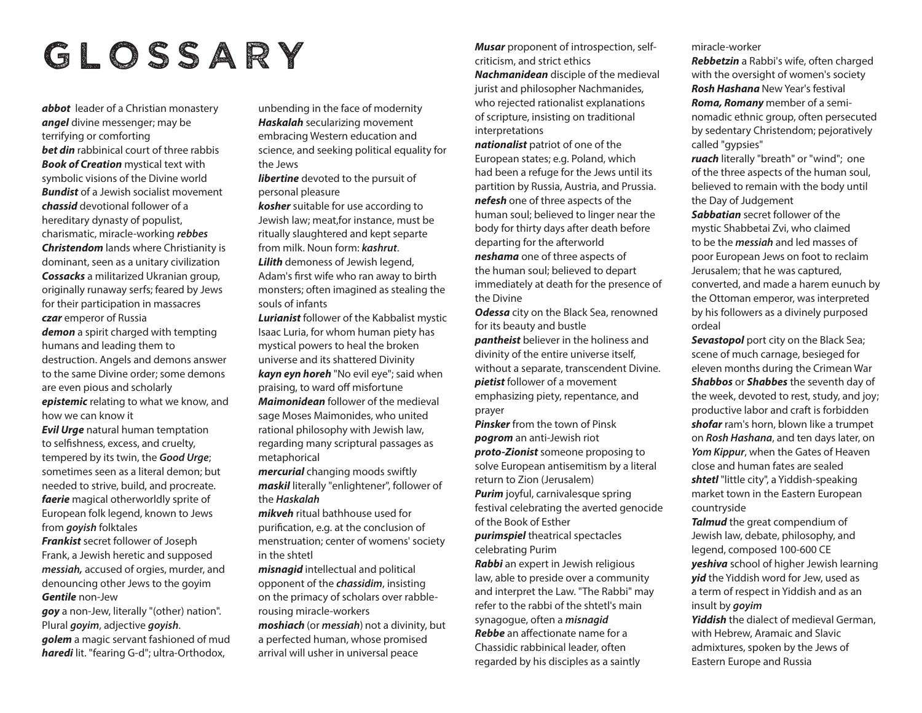# glossary

*abbot* leader of a Christian monastery *angel* divine messenger; may be terrifying or comforting *bet din* rabbinical court of three rabbis *Book of Creation* mystical text with symbolic visions of the Divine world *Bundist* of a Jewish socialist movement *chassid* devotional follower of a hereditary dynasty of populist, charismatic, miracle-working *rebbes Christendom* lands where Christianity is dominant, seen as a unitary civilization *Cossacks* a militarized Ukranian group, originally runaway serfs; feared by Jews for their participation in massacres *czar* emperor of Russia *demon* a spirit charged with tempting humans and leading them to

destruction. Angels and demons answer to the same Divine order; some demons are even pious and scholarly *epistemic* relating to what we know, and how we can know it

*Evil Urge* natural human temptation to selfishness, excess, and cruelty, tempered by its twin, the *Good Urge*; sometimes seen as a literal demon; but needed to strive, build, and procreate. *faerie* magical otherworldly sprite of European folk legend, known to Jews from *goyish* folktales

*Frankist* secret follower of Joseph Frank, a Jewish heretic and supposed *messiah,* accused of orgies, murder, and denouncing other Jews to the goyim *Gentile* non-Jew

*goy* a non-Jew, literally "(other) nation". Plural *goyim*, adjective *goyish*.

*golem* a magic servant fashioned of mud *haredi* lit. "fearing G-d"; ultra-Orthodox,

unbending in the face of modernity *Haskalah* secularizing movement embracing Western education and science, and seeking political equality for the Jews

*libertine* devoted to the pursuit of personal pleasure

*kosher* suitable for use according to Jewish law; meat,for instance, must be ritually slaughtered and kept separte from milk. Noun form: *kashrut*. *Lilith* demoness of Jewish legend, Adam's first wife who ran away to birth monsters; often imagined as stealing the

souls of infants *Lurianist* follower of the Kabbalist mystic Isaac Luria, for whom human piety has mystical powers to heal the broken universe and its shattered Divinity *kayn eyn horeh* "No evil eye"; said when praising, to ward off misfortune *Maimonidean* follower of the medieval sage Moses Maimonides, who united

rational philosophy with Jewish law, regarding many scriptural passages as metaphorical

*mercurial* changing moods swiftly *maskil* literally "enlightener", follower of the *Haskalah*

*mikveh* ritual bathhouse used for purification, e.g. at the conclusion of menstruation; center of womens' society in the shtetl

*misnagid* intellectual and political opponent of the *chassidim*, insisting on the primacy of scholars over rabblerousing miracle-workers

*moshiach* (or *messiah*) not a divinity, but a perfected human, whose promised arrival will usher in universal peace

*Musar* proponent of introspection, selfcriticism, and strict ethics *Nachmanidean* disciple of the medieval jurist and philosopher Nachmanides, who rejected rationalist explanations

of scripture, insisting on traditional interpretations

*nationalist* patriot of one of the European states; e.g. Poland, which had been a refuge for the Jews until its partition by Russia, Austria, and Prussia. *nefesh* one of three aspects of the human soul; believed to linger near the body for thirty days after death before departing for the afterworld *neshama* one of three aspects of the human soul; believed to depart immediately at death for the presence of the Divine

*Odessa* city on the Black Sea, renowned for its beauty and bustle *pantheist* believer in the holiness and divinity of the entire universe itself, without a separate, transcendent Divine. *pietist* follower of a movement emphasizing piety, repentance, and prayer

*Pinsker* from the town of Pinsk *pogrom* an anti-Jewish riot *proto-Zionist* someone proposing to solve European antisemitism by a literal return to Zion (Jerusalem) *Purim* joyful, carnivalesque spring

festival celebrating the averted genocide of the Book of Esther

*purimspiel* theatrical spectacles celebrating Purim

*Rabbi* an expert in Jewish religious law, able to preside over a community and interpret the Law. "The Rabbi" may refer to the rabbi of the shtetl's main synagogue, often a *misnagid Rebbe* an affectionate name for a Chassidic rabbinical leader, often regarded by his disciples as a saintly

miracle-worker

*Rebbetzin* a Rabbi's wife, often charged with the oversight of women's society *Rosh Hashana* New Year's festival *Roma, Romany* member of a seminomadic ethnic group, often persecuted by sedentary Christendom; pejoratively called "gypsies"

*ruach* literally "breath" or "wind"; one of the three aspects of the human soul, believed to remain with the body until the Day of Judgement

*Sabbatian* secret follower of the mystic Shabbetai Zvi, who claimed to be the *messiah* and led masses of poor European Jews on foot to reclaim Jerusalem; that he was captured, converted, and made a harem eunuch by the Ottoman emperor, was interpreted by his followers as a divinely purposed ordeal

*Sevastopol* port city on the Black Sea; scene of much carnage, besieged for eleven months during the Crimean War *Shabbos* or *Shabbes* the seventh day of the week, devoted to rest, study, and joy; productive labor and craft is forbidden *shofar* ram's horn, blown like a trumpet on *Rosh Hashana*, and ten days later, on *Yom Kippur*, when the Gates of Heaven close and human fates are sealed *shtetl* "little city", a Yiddish-speaking market town in the Eastern European countryside

*Talmud* the great compendium of Jewish law, debate, philosophy, and legend, composed 100-600 CE *yeshiva* school of higher Jewish learning *yid* the Yiddish word for Jew, used as a term of respect in Yiddish and as an insult by *goyim*

*Yiddish* the dialect of medieval German, with Hebrew, Aramaic and Slavic admixtures, spoken by the Jews of Eastern Europe and Russia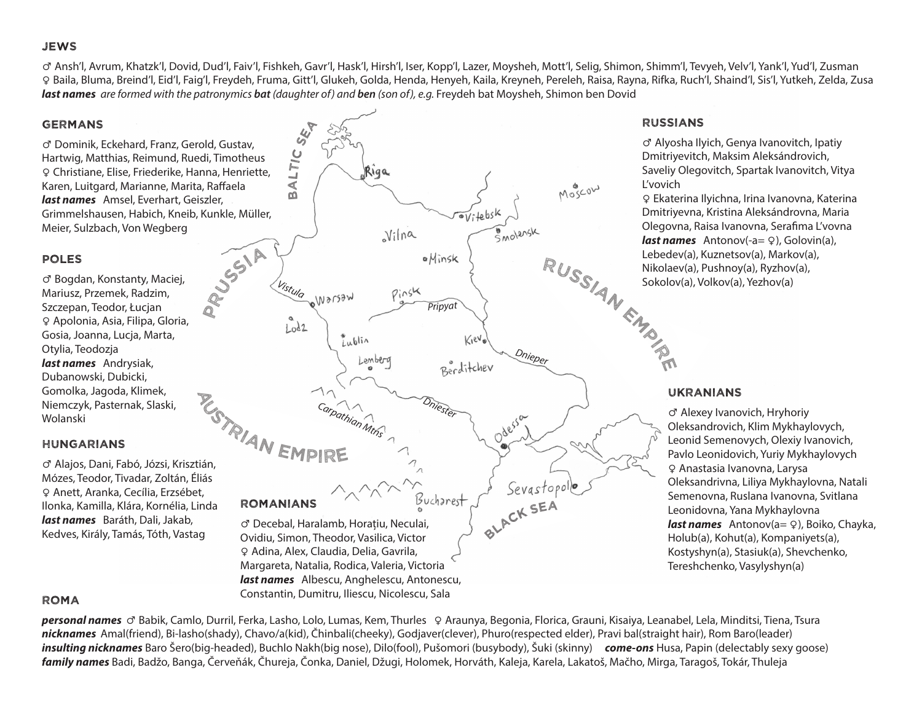### **JEWS**

♂ Ansh'l, Avrum, Khatzk'l, Dovid, Dud'l, Faiv'l, Fishkeh, Gavr'l, Hask'l, Hirsh'l, Iser, Kopp'l, Lazer, Moysheh, Mott'l, Selig, Shimon, Shimm'l, Tevyeh, Velv'l, Yank'l, Yud'l, Zusman ♀ Baila, Bluma, Breind'l, Eid'l, Faig'l, Freydeh, Fruma, Gitt'l, Glukeh, Golda, Henda, Henyeh, Kaila, Kreyneh, Pereleh, Raisa, Rayna, Rifka, Ruch'l, Shaind'l, Sis'l, Yutkeh, Zelda, Zusa *last names are formed with the patronymics bat (daughter of) and ben (son of), e.g.* Freydeh bat Moysheh, Shimon ben Dovid

*Dnieper*

Sevastopolle

MOSCOW

### **GERMANS**

♂ Dominik, Eckehard, Franz, Gerold, Gustav, Hartwig, Matthias, Reimund, Ruedi, Timotheus ♀ Christiane, Elise, Friederike, Hanna, Henriette, Karen, Luitgard, Marianne, Marita, Raffaela *last names* Amsel, Everhart, Geiszler, Grimmelshausen, Habich, Kneib, Kunkle, Müller, Meier, Sulzbach, Von Wegberg

### Poles

♂ Bogdan, Konstanty, Maciej, Mariusz, Przemek, Radzim, Szczepan, Teodor, Łucjan ♀ Apolonia, Asia, Filipa, Gloria, Gosia, Joanna, Lucja, Marta, Otylia, Teodozja *last names* Andrysiak, Dubanowski, Dubicki, Gomolka, Jagoda, Klimek, Niemczyk, Pasternak, Slaski, Wolanski

### HUNGARIANS

ROMA

♂ Alajos, Dani, Fabó, Józsi, Krisztián, Mózes, Teodor, Tivadar, Zoltán, Éliás ♀ Anett, Aranka, Cecília, Erzsébet, Ilonka, Kamilla, Klára, Kornélia, Linda *last names* Baráth, Dali, Jakab, Kedves, Király, Tamás, Tóth, Vastag

Vitebsk SMOLensk  $Nilna$ PRUSSIA oMinsk *Vistula* Pinsk Warsaw *Pripyat*  $L_0d2$  $\sqrt[n]{\text{Lublin}}$ Kiev Lemberg Berditchev **EMPIRE** *Carpathian Mtns Dniester* Odessa LACK SEA Bucharest **ROMANIANS** ♂ Decebal, Haralamb, Horațiu, Neculai, Ovidiu, Simon, Theodor, Vasilica, Victor ♀ Adina, Alex, Claudia, Delia, Gavrila, Margareta, Natalia, Rodica, Valeria, Victoria *last names* Albescu, Anghelescu, Antonescu,

Riga

b A ltic

ser<br>S

### Constantin, Dumitru, Iliescu, Nicolescu, Sala

*personal names* ♂ Babik, Camlo, Durril, Ferka, Lasho, Lolo, Lumas, Kem, Thurles ♀ Araunya, Begonia, Florica, Grauni, Kisaiya, Leanabel, Lela, Minditsi, Tiena, Tsura *nicknames* Amal(friend), Bi-lasho(shady), Chavo/a(kid), Čhinbali(cheeky), Godjaver(clever), Phuro(respected elder), Pravi bal(straight hair), Rom Baro(leader) *insulting nicknames* Baro Šero(big-headed), Buchlo Nakh(big nose), Dilo(fool), Pušomori (busybody), Šuki (skinny) *come-ons* Husa, Papin (delectably sexy goose) *family names* Badi, Badžo, Banga, Červeňák, Čhureja, Čonka, Daniel, Džugi, Holomek, Horváth, Kaleja, Karela, Lakatoš, Mačho, Mirga, Taragoš, Tokár, Thuleja

### RUSSIAns

♂ Alyosha Ilyich, Genya Ivanovitch, Ipatiy Dmitriyevitch, Maksim Aleksándrovich, Saveliy Olegovitch, Spartak Ivanovitch, Vitya L'vovich

RUSSIAN EMPI ♀ Ekaterina Ilyichna, Irina Ivanovna, Katerina Dmitriyevna, Kristina Aleksándrovna, Maria Olegovna, Raisa Ivanovna, Serafima L'vovna *last names* Antonov(-a= ♀), Golovin(a), Lebedev(a), Kuznetsov(a), Markov(a), Nikolaev(a), Pushnoy(a), Ryzhov(a), Sokolov(a), Volkov(a), Yezhov(a)

### ukranIAns

♂ Alexey Ivanovich, Hryhoriy Oleksandrovich, Klim Mykhaylovych, Leonid Semenovych, Olexiy Ivanovich, Pavlo Leonidovich, Yuriy Mykhaylovych ♀ Anastasia Ivanovna, Larysa Oleksandrivna, Liliya Mykhaylovna, Natali Semenovna, Ruslana Ivanovna, Svitlana Leonidovna, Yana Mykhaylovna *last names* Antonov(a= ♀), Boiko, Chayka, Holub(a), Kohut(a), Kompaniyets(a), Kostyshyn(a), Stasiuk(a), Shevchenko, Tereshchenko, Vasylyshyn(a)